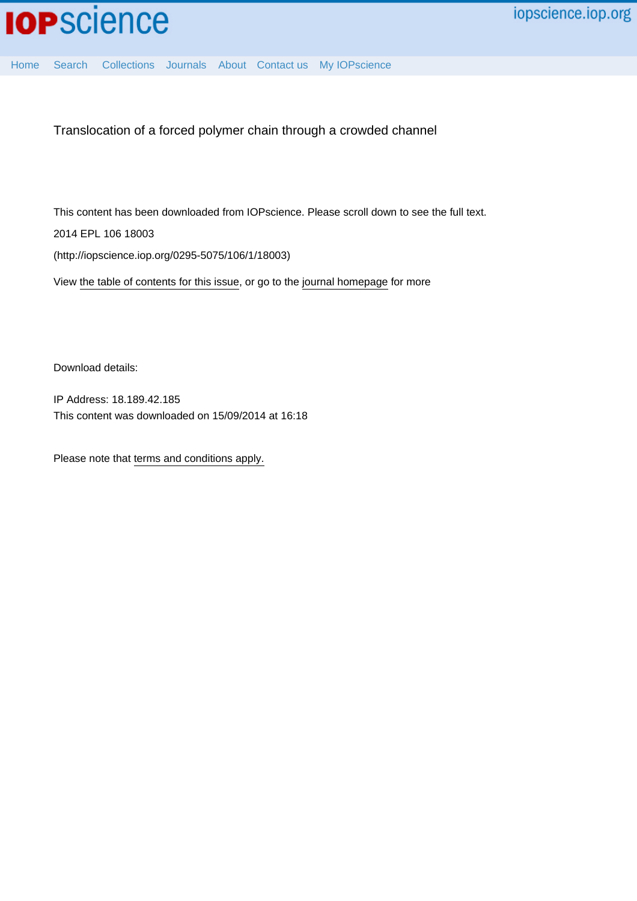

[Home](http://iopscience.iop.org/) [Search](http://iopscience.iop.org/search) [Collections](http://iopscience.iop.org/collections) [Journals](http://iopscience.iop.org/journals) [About](http://iopscience.iop.org/page/aboutioppublishing) [Contact us](http://iopscience.iop.org/contact) [My IOPscience](http://iopscience.iop.org/myiopscience)

Translocation of a forced polymer chain through a crowded channel

This content has been downloaded from IOPscience. Please scroll down to see the full text. 2014 EPL 106 18003 (http://iopscience.iop.org/0295-5075/106/1/18003)

View [the table of contents for this issue](http://iopscience.iop.org/0295-5075/106/1), or go to the [journal homepage](http://iopscience.iop.org/0295-5075) for more

Download details:

IP Address: 18.189.42.185 This content was downloaded on 15/09/2014 at 16:18

Please note that [terms and conditions apply.](iopscience.iop.org/page/terms)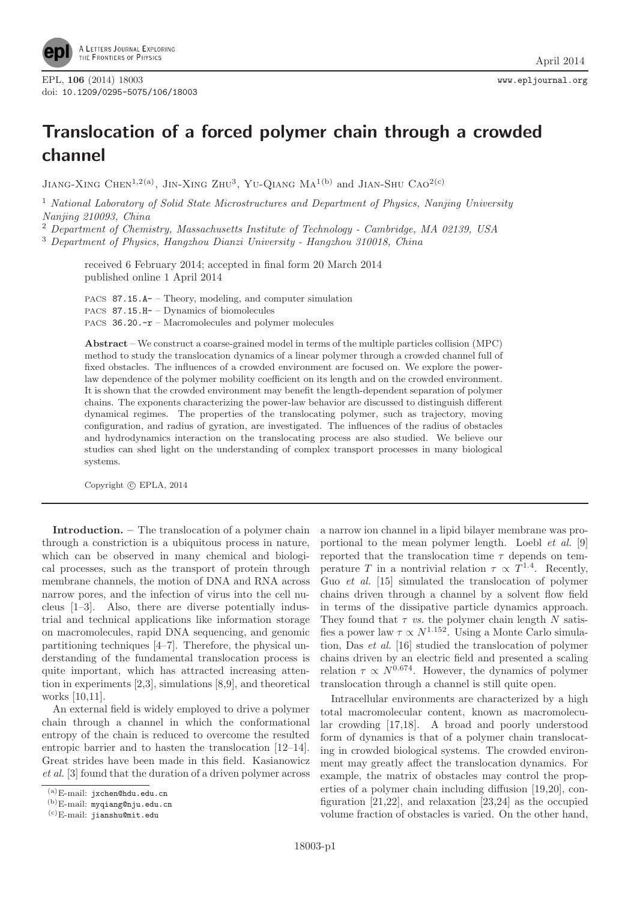

## **Translocation of a forced polymer chain through a crowded channel**

JIANG-XING CHEN<sup>1,2(a)</sup>, JIN-XING ZHU<sup>3</sup>, YU-QIANG MA<sup>1(b)</sup> and JIAN-SHU CAO<sup>2(c)</sup>

<sup>1</sup> *National Laboratory of Solid State Microstructures and Department of Physics, Nanjing University Nanjing 210093, China*

<sup>2</sup> *Department of Chemistry, Massachusetts Institute of Technology - Cambridge, MA 02139, USA*

<sup>3</sup> *Department of Physics, Hangzhou Dianzi University - Hangzhou 310018, China*

received 6 February 2014; accepted in final form 20 March 2014 published online 1 April 2014

PACS 87.15.A- – Theory, modeling, and computer simulation PACS 87.15.H- – Dynamics of biomolecules PACS 36.20.-r – Macromolecules and polymer molecules

**Abstract** – We construct a coarse-grained model in terms of the multiple particles collision (MPC) method to study the translocation dynamics of a linear polymer through a crowded channel full of fixed obstacles. The influences of a crowded environment are focused on. We explore the powerlaw dependence of the polymer mobility coefficient on its length and on the crowded environment. It is shown that the crowded environment may benefit the length-dependent separation of polymer chains. The exponents characterizing the power-law behavior are discussed to distinguish different dynamical regimes. The properties of the translocating polymer, such as trajectory, moving configuration, and radius of gyration, are investigated. The influences of the radius of obstacles and hydrodynamics interaction on the translocating process are also studied. We believe our studies can shed light on the understanding of complex transport processes in many biological systems.

Copyright (C) EPLA, 2014

**Introduction. –** The translocation of a polymer chain through a constriction is a ubiquitous process in nature, which can be observed in many chemical and biological processes, such as the transport of protein through membrane channels, the motion of DNA and RNA across narrow pores, and the infection of virus into the cell nucleus [1–3]. Also, there are diverse potentially industrial and technical applications like information storage on macromolecules, rapid DNA sequencing, and genomic partitioning techniques [4–7]. Therefore, the physical understanding of the fundamental translocation process is quite important, which has attracted increasing attention in experiments [2,3], simulations [8,9], and theoretical works [10,11].

An external field is widely employed to drive a polymer chain through a channel in which the conformational entropy of the chain is reduced to overcome the resulted entropic barrier and to hasten the translocation [12–14]. Great strides have been made in this field. Kasianowicz *et al.* [3] found that the duration of a driven polymer across a narrow ion channel in a lipid bilayer membrane was proportional to the mean polymer length. Loebl *et al.* [9] reported that the translocation time  $\tau$  depends on temperature T in a nontrivial relation  $\tau \propto T^{1.4}$ . Recently, Guo *et al.* [15] simulated the translocation of polymer chains driven through a channel by a solvent flow field in terms of the dissipative particle dynamics approach. They found that  $\tau$  *vs.* the polymer chain length  $N$  satisfies a power law  $\tau \propto N^{1.152}$ . Using a Monte Carlo simulation, Das *et al.* [16] studied the translocation of polymer chains driven by an electric field and presented a scaling relation  $\tau \propto N^{0.674}$ . However, the dynamics of polymer translocation through a channel is still quite open.

Intracellular environments are characterized by a high total macromolecular content, known as macromolecular crowding [17,18]. A broad and poorly understood form of dynamics is that of a polymer chain translocating in crowded biological systems. The crowded environment may greatly affect the translocation dynamics. For example, the matrix of obstacles may control the properties of a polymer chain including diffusion [19,20], configuration [21,22], and relaxation [23,24] as the occupied volume fraction of obstacles is varied. On the other hand,

 $^{(a)}E$ -mail: jxchen@hdu.edu.cn

 $\frac{(b)}{E}$ -mail: myqiang@nju.edu.cn

<sup>(</sup>c)E-mail: jianshu@mit.edu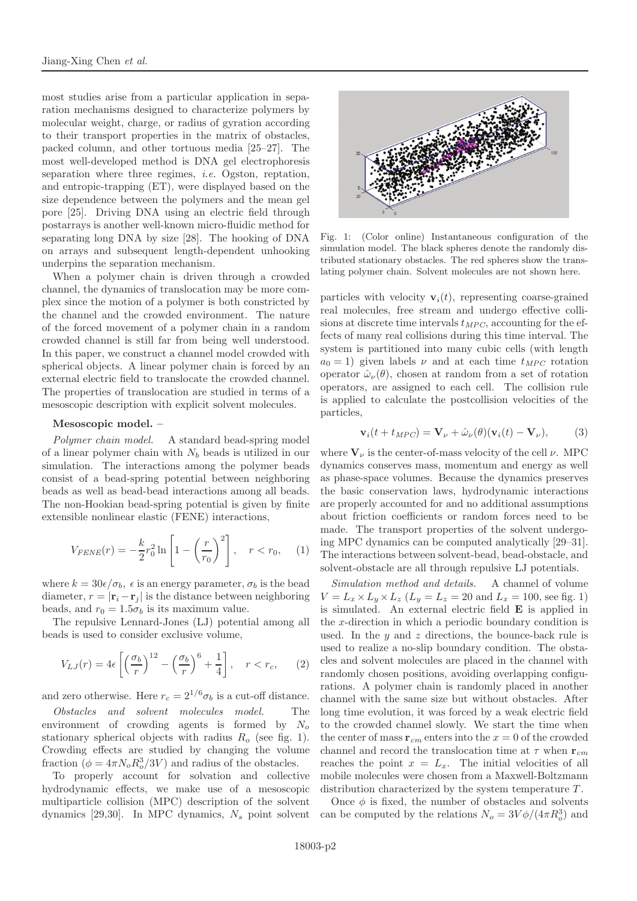most studies arise from a particular application in separation mechanisms designed to characterize polymers by molecular weight, charge, or radius of gyration according to their transport properties in the matrix of obstacles, packed column, and other tortuous media [25–27]. The most well-developed method is DNA gel electrophoresis separation where three regimes, *i.e.* Ogston, reptation, and entropic-trapping (ET), were displayed based on the size dependence between the polymers and the mean gel pore [25]. Driving DNA using an electric field through postarrays is another well-known micro-fluidic method for separating long DNA by size [28]. The hooking of DNA on arrays and subsequent length-dependent unhooking underpins the separation mechanism.

When a polymer chain is driven through a crowded channel, the dynamics of translocation may be more complex since the motion of a polymer is both constricted by the channel and the crowded environment. The nature of the forced movement of a polymer chain in a random crowded channel is still far from being well understood. In this paper, we construct a channel model crowded with spherical objects. A linear polymer chain is forced by an external electric field to translocate the crowded channel. The properties of translocation are studied in terms of a mesoscopic description with explicit solvent molecules.

## **Mesoscopic model. –**

*Polymer chain model.* A standard bead-spring model of a linear polymer chain with  $N_b$  beads is utilized in our simulation. The interactions among the polymer beads consist of a bead-spring potential between neighboring beads as well as bead-bead interactions among all beads. The non-Hookian bead-spring potential is given by finite extensible nonlinear elastic (FENE) interactions,

$$
V_{FENE}(r) = -\frac{k}{2}r_0^2 \ln\left[1 - \left(\frac{r}{r_0}\right)^2\right], \quad r < r_0,\quad (1)
$$

where  $k = 30\epsilon/\sigma_b$ ,  $\epsilon$  is an energy parameter,  $\sigma_b$  is the bead diameter,  $r = |\mathbf{r}_i - \mathbf{r}_j|$  is the distance between neighboring beads, and  $r_0 = 1.5\sigma_b$  is its maximum value.

The repulsive Lennard-Jones (LJ) potential among all beads is used to consider exclusive volume,

$$
V_{LJ}(r) = 4\epsilon \left[ \left(\frac{\sigma_b}{r}\right)^{12} - \left(\frac{\sigma_b}{r}\right)^6 + \frac{1}{4} \right], \quad r < r_c,\tag{2}
$$

and zero otherwise. Here  $r_c = 2^{1/6}\sigma_b$  is a cut-off distance.<br>Obstacles and solvent molecules model. The

 $Obstacks$  and solvent molecules model. environment of crowding agents is formed by  $N<sub>o</sub>$ stationary spherical objects with radius  $R_o$  (see fig. 1). Crowding effects are studied by changing the volume fraction  $(\phi = 4\pi N_o R_o^3/3V)$  and radius of the obstacles.<br>To properly account for solvation and collection

To properly account for solvation and collective hydrodynamic effects, we make use of a mesoscopic multiparticle collision (MPC) description of the solvent dynamics [29,30]. In MPC dynamics,  $N_s$  point solvent



Fig. 1: (Color online) Instantaneous configuration of the simulation model. The black spheres denote the randomly distributed stationary obstacles. The red spheres show the translating polymer chain. Solvent molecules are not shown here.

particles with velocity  $\mathbf{v}_i(t)$ , representing coarse-grained real molecules, free stream and undergo effective collisions at discrete time intervals  $t_{MPC}$ , accounting for the effects of many real collisions during this time interval. The system is partitioned into many cubic cells (with length  $a_0 = 1$ ) given labels  $\nu$  and at each time  $t_{MPC}$  rotation operator  $\hat{\omega}_{\nu}(\theta)$ , chosen at random from a set of rotation operators, are assigned to each cell. The collision rule is applied to calculate the postcollision velocities of the particles,

$$
\mathbf{v}_i(t + t_{MPC}) = \mathbf{V}_{\nu} + \hat{\omega}_{\nu}(\theta)(\mathbf{v}_i(t) - \mathbf{V}_{\nu}), \qquad (3)
$$

where  $V_{\nu}$  is the center-of-mass velocity of the cell  $\nu$ . MPC dynamics conserves mass, momentum and energy as well as phase-space volumes. Because the dynamics preserves the basic conservation laws, hydrodynamic interactions are properly accounted for and no additional assumptions about friction coefficients or random forces need to be made. The transport properties of the solvent undergoing MPC dynamics can be computed analytically [29–31]. The interactions between solvent-bead, bead-obstacle, and solvent-obstacle are all through repulsive LJ potentials.

*Simulation method and details.* A channel of volume  $V = L_x \times L_y \times L_z$  ( $L_y = L_z = 20$  and  $L_x = 100$ , see fig. 1) is simulated. An external electric field **E** is applied in the  $x$ -direction in which a periodic boundary condition is used. In the  $y$  and  $z$  directions, the bounce-back rule is used to realize a no-slip boundary condition. The obstacles and solvent molecules are placed in the channel with randomly chosen positions, avoiding overlapping configurations. A polymer chain is randomly placed in another channel with the same size but without obstacles. After long time evolution, it was forced by a weak electric field to the crowded channel slowly. We start the time when the center of mass  $\mathbf{r}_{cm}$  enters into the  $x = 0$  of the crowded channel and record the translocation time at  $\tau$  when  $\mathbf{r}_{cm}$ reaches the point  $x = L_x$ . The initial velocities of all mobile molecules were chosen from a Maxwell-Boltzmann distribution characterized by the system temperature T.

Once  $\phi$  is fixed, the number of obstacles and solvents can be computed by the relations  $N_o = 3V\phi/(4\pi R_o^3)$  and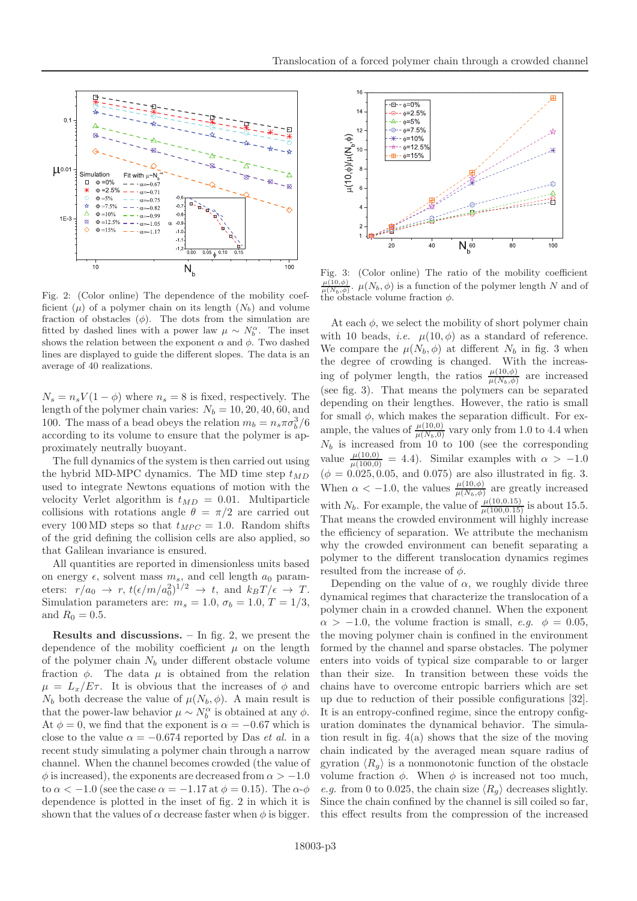

Fig. 2: (Color online) The dependence of the mobility coefficient ( $\mu$ ) of a polymer chain on its length ( $N_b$ ) and volume fraction of obstacles  $(\phi)$ . The dots from the simulation are fitted by dashed lines with a power law  $\mu \sim N_b^{\alpha}$ . The inset shows the relation between the exponent  $\alpha$  and  $\phi$ . Two dashed lines are displayed to guide the different slopes. The data is an average of 40 realizations.

 $N_s = n_s V(1 - \phi)$  where  $n_s = 8$  is fixed, respectively. The length of the polymer chain varies:  $N_b = 10, 20, 40, 60,$  and 100. The mass of a bead obeys the relation  $m_b = n_s \pi \sigma_b^3/6$ <br>according to its volume to opening that the polymer is an according to its volume to ensure that the polymer is approximately neutrally buoyant.

The full dynamics of the system is then carried out using the hybrid MD-MPC dynamics. The MD time step  $t_{MD}$ used to integrate Newtons equations of motion with the velocity Verlet algorithm is  $t_{MD} = 0.01$ . Multiparticle collisions with rotations angle  $\theta = \pi/2$  are carried out every 100 MD steps so that  $t_{MPC} = 1.0$ . Random shifts of the grid defining the collision cells are also applied, so that Galilean invariance is ensured.

All quantities are reported in dimensionless units based on energy  $\epsilon$ , solvent mass  $m_s$ , and cell length  $a_0$  parameters:  $r/a_0 \rightarrow r$ ,  $t(\epsilon/m/a_0^2)^{1/2} \rightarrow t$ , and  $k_BT/\epsilon \rightarrow T$ .<br>Simulation parameters are  $m = 1.0 \text{ J} = 1.0 \text{ T} = 1/2$ . Simulation parameters are:  $m_s = 1.0$ ,  $\sigma_b = 1.0$ ,  $T = 1/3$ , and  $R_0 = 0.5$ .

**Results and discussions. –** In fig. 2, we present the dependence of the mobility coefficient  $\mu$  on the length of the polymer chain  $N_b$  under different obstacle volume fraction  $\phi$ . The data  $\mu$  is obtained from the relation  $\mu = L_x/E\tau$ . It is obvious that the increases of  $\phi$  and  $N_b$  both decrease the value of  $\mu(N_b, \phi)$ . A main result is that the power-law behavior  $\mu \sim N_b^{\alpha}$  is obtained at any  $\phi$ .<br>At  $\phi = 0$ , we find that the exponent is  $\alpha = -0.67$  which is At  $\phi = 0$ , we find that the exponent is  $\alpha = -0.67$  which is close to the value  $\alpha = -0.674$  reported by Das *et al.* in a recent study simulating a polymer chain through a narrow channel. When the channel becomes crowded (the value of  $\phi$  is increased), the exponents are decreased from  $\alpha > -1.0$ to  $\alpha < -1.0$  (see the case  $\alpha = -1.17$  at  $\phi = 0.15$ ). The  $\alpha$ - $\phi$ dependence is plotted in the inset of fig. 2 in which it is shown that the values of  $\alpha$  decrease faster when  $\phi$  is bigger.



Fig. 3: (Color online) The ratio of the mobility coefficient  $\mu(10,\phi)$ .  $\mu(N_b,\phi)$  is a function of the polymer length N and of  $\mu(N_b,\phi)$  is a function  $\phi$ the obstacle volume fraction  $\phi$ .

At each  $\phi$ , we select the mobility of short polymer chain with 10 beads, *i.e.*  $\mu(10, \phi)$  as a standard of reference. We compare the  $\mu(N_b, \phi)$  at different  $N_b$  in fig. 3 when the degree of crowding is changed. With the increasing of polymer length, the ratios  $\frac{\mu(10,\phi)}{\mu(N_b,\phi)}$  are increased  $(\cos 6\pi, 3)$ . That means the polymeral because the conservation (see fig. 3). That means the polymers can be separated depending on their lengthes. However, the ratio is small for small  $\phi$ , which makes the separation difficult. For example, the values of  $\frac{\mu(10,0)}{\mu(N_b,0)}$  vary only from 1.0 to 4.4 when  $N_b$  is increased from 0.10. (see the corresponding  $N_b$  is increased from 10 to 100 (see the corresponding value  $\frac{\mu(10,0)}{\mu(100,0)} = 4.4$ ). Similar examples with  $\alpha > -1.0$  $(\phi = 0.025, 0.05, \text{ and } 0.075)$  are also illustrated in fig. 3. When  $\alpha < -1.0$ , the values  $\frac{\mu(10,\phi)}{\mu(N_b,\phi)}$  are greatly increased with  $N_b$ . For example, the value of  $\frac{\mu(10,0.15)}{\mu(100,0.15)}$  is about 15.5.<br>That means the grouded opyroproperty will bighly increase That means the crowded environment will highly increase the efficiency of separation. We attribute the mechanism why the crowded environment can benefit separating a polymer to the different translocation dynamics regimes resulted from the increase of  $\phi$ .

Depending on the value of  $\alpha$ , we roughly divide three dynamical regimes that characterize the translocation of a polymer chain in a crowded channel. When the exponent  $\alpha > -1.0$ , the volume fraction is small, *e.g.*  $\phi = 0.05$ , the moving polymer chain is confined in the environment formed by the channel and sparse obstacles. The polymer enters into voids of typical size comparable to or larger than their size. In transition between these voids the chains have to overcome entropic barriers which are set up due to reduction of their possible configurations [32]. It is an entropy-confined regime, since the entropy configuration dominates the dynamical behavior. The simulation result in fig. 4(a) shows that the size of the moving chain indicated by the averaged mean square radius of gyration  $\langle R_g \rangle$  is a nonmonotonic function of the obstacle volume fraction  $\phi$ . When  $\phi$  is increased not too much, *e.g.* from 0 to 0.025, the chain size  $\langle R_q \rangle$  decreases slightly. Since the chain confined by the channel is sill coiled so far, this effect results from the compression of the increased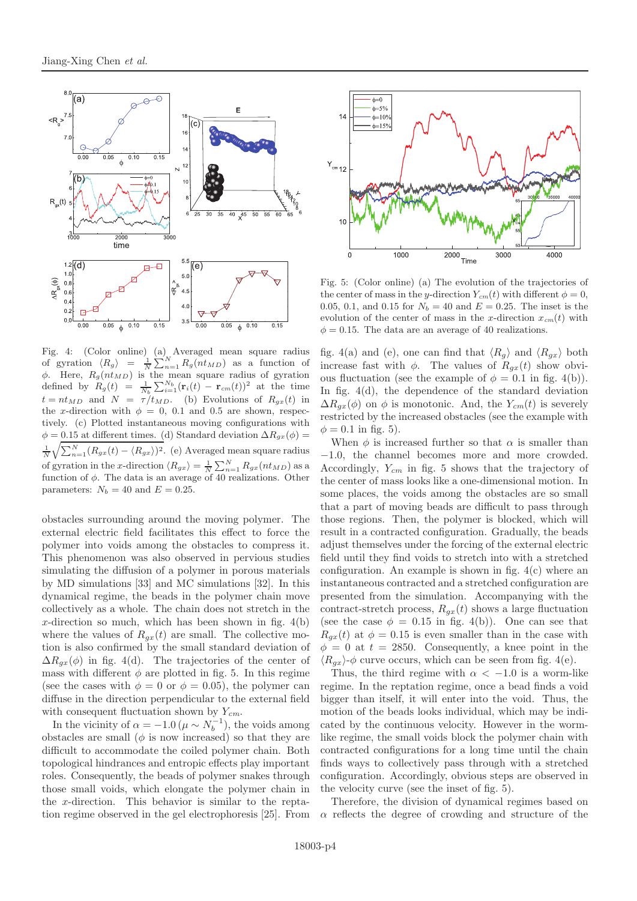

Fig. 4: (Color online) (a) Averaged mean square radius of gyration  $\langle R_g \rangle = \frac{1}{N} \sum_{n=1}^{N} R_g(n t_{MD})$  as a function of  $\phi$ . Here,  $R_g(nt_{MD})$  is the mean square radius of gyration defined by  $R_g(t) = \frac{1}{N_b} \sum_{i=1}^{N_b} (\mathbf{r}_i(t) - \mathbf{r}_{cm}(t))^2$  at the time  $t = nt_{MD}$  and  $N = \tau/t_{MD}$ . (b) Evolutions of  $R_{gx}(t)$  in the x-direction with  $\phi = 0$ , 0.1 and 0.5 are shown, respectively. (c) Plotted instantaneous moving configurations with  $\phi = 0.15$  at different times. (d) Standard deviation  $\Delta R_{ax}(\phi) =$  $\frac{1}{N}\sqrt{\sum_{n=1}^{N}(R_{gx}(t)-\langle R_{gx}\rangle)^2}$ . (e) Averaged mean square radius of gyration in the x-direction  $\langle R_{gx} \rangle = \frac{1}{N} \sum_{n=1}^{N} R_{gx}(nt_{MD})$  as a<br>function of  $\phi$ . The data is an average of 40 realizations. Other function of  $\phi$ . The data is an average of 40 realizations. Other parameters:  $N_b = 40$  and  $E = 0.25$ .

obstacles surrounding around the moving polymer. The external electric field facilitates this effect to force the polymer into voids among the obstacles to compress it. This phenomenon was also observed in pervious studies simulating the diffusion of a polymer in porous materials by MD simulations [33] and MC simulations [32]. In this dynamical regime, the beads in the polymer chain move collectively as a whole. The chain does not stretch in the x-direction so much, which has been shown in fig.  $4(b)$ where the values of  $R_{gx}(t)$  are small. The collective motion is also confirmed by the small standard deviation of  $\Delta R_{gx}(\phi)$  in fig. 4(d). The trajectories of the center of mass with different  $\phi$  are plotted in fig. 5. In this regime (see the cases with  $\phi = 0$  or  $\phi = 0.05$ ), the polymer can diffuse in the direction perpendicular to the external field with consequent fluctuation shown by Y*cm*.

In the vicinity of  $\alpha = -1.0 \ (\mu \sim N_b^{-1})$ , the voids among<br>stacles are small ( $\phi$  is now increased) so that they are obstacles are small  $(\phi \text{ is now increased})$  so that they are difficult to accommodate the coiled polymer chain. Both topological hindrances and entropic effects play important roles. Consequently, the beads of polymer snakes through those small voids, which elongate the polymer chain in the x-direction. This behavior is similar to the reptation regime observed in the gel electrophoresis [25]. From



Fig. 5: (Color online) (a) The evolution of the trajectories of the center of mass in the y-direction  $Y_{cm}(t)$  with different  $\phi = 0$ , 0.05, 0.1, and 0.15 for  $N_b = 40$  and  $E = 0.25$ . The inset is the evolution of the center of mass in the x-direction  $x_{cm}(t)$  with  $\phi = 0.15$ . The data are an average of 40 realizations.

fig. 4(a) and (e), one can find that  $\langle R_q \rangle$  and  $\langle R_{qx} \rangle$  both increase fast with  $\phi$ . The values of  $R_{ax}(t)$  show obvious fluctuation (see the example of  $\phi = 0.1$  in fig. 4(b)). In fig. 4(d), the dependence of the standard deviation  $\Delta R_{qx}(\phi)$  on  $\phi$  is monotonic. And, the  $Y_{cm}(t)$  is severely restricted by the increased obstacles (see the example with  $\phi = 0.1$  in fig. 5).

When  $\phi$  is increased further so that  $\alpha$  is smaller than −1.0, the channel becomes more and more crowded. Accordingly, Y*cm* in fig. 5 shows that the trajectory of the center of mass looks like a one-dimensional motion. In some places, the voids among the obstacles are so small that a part of moving beads are difficult to pass through those regions. Then, the polymer is blocked, which will result in a contracted configuration. Gradually, the beads adjust themselves under the forcing of the external electric field until they find voids to stretch into with a stretched configuration. An example is shown in fig.  $4(c)$  where an instantaneous contracted and a stretched configuration are presented from the simulation. Accompanying with the contract-stretch process,  $R_{gx}(t)$  shows a large fluctuation (see the case  $\phi = 0.15$  in fig. 4(b)). One can see that  $R_{qx}(t)$  at  $\phi = 0.15$  is even smaller than in the case with  $\phi = 0$  at  $t = 2850$ . Consequently, a knee point in the  $\langle R_{qx} \rangle$ - $\phi$  curve occurs, which can be seen from fig. 4(e).

Thus, the third regime with  $\alpha < -1.0$  is a worm-like regime. In the reptation regime, once a bead finds a void bigger than itself, it will enter into the void. Thus, the motion of the beads looks individual, which may be indicated by the continuous velocity. However in the wormlike regime, the small voids block the polymer chain with contracted configurations for a long time until the chain finds ways to collectively pass through with a stretched configuration. Accordingly, obvious steps are observed in the velocity curve (see the inset of fig. 5).

Therefore, the division of dynamical regimes based on  $\alpha$  reflects the degree of crowding and structure of the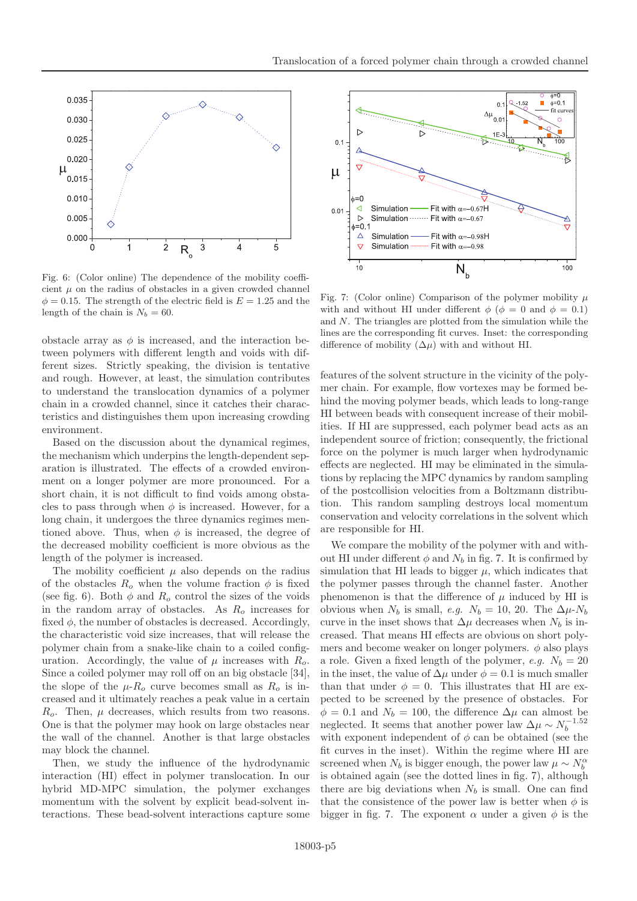

Fig. 6: (Color online) The dependence of the mobility coefficient  $\mu$  on the radius of obstacles in a given crowded channel  $\phi = 0.15$ . The strength of the electric field is  $E = 1.25$  and the length of the chain is  $N_b = 60$ .

obstacle array as  $\phi$  is increased, and the interaction between polymers with different length and voids with different sizes. Strictly speaking, the division is tentative and rough. However, at least, the simulation contributes to understand the translocation dynamics of a polymer chain in a crowded channel, since it catches their characteristics and distinguishes them upon increasing crowding environment.

Based on the discussion about the dynamical regimes, the mechanism which underpins the length-dependent separation is illustrated. The effects of a crowded environment on a longer polymer are more pronounced. For a short chain, it is not difficult to find voids among obstacles to pass through when  $\phi$  is increased. However, for a long chain, it undergoes the three dynamics regimes mentioned above. Thus, when  $\phi$  is increased, the degree of the decreased mobility coefficient is more obvious as the length of the polymer is increased.

The mobility coefficient  $\mu$  also depends on the radius of the obstacles  $R_o$  when the volume fraction  $\phi$  is fixed (see fig. 6). Both  $\phi$  and  $R_o$  control the sizes of the voids in the random array of obstacles. As  $R_0$  increases for fixed  $\phi$ , the number of obstacles is decreased. Accordingly, the characteristic void size increases, that will release the polymer chain from a snake-like chain to a coiled configuration. Accordingly, the value of  $\mu$  increases with  $R_o$ . Since a coiled polymer may roll off on an big obstacle [34], the slope of the  $\mu$ - $R_o$  curve becomes small as  $R_o$  is increased and it ultimately reaches a peak value in a certain  $R<sub>o</sub>$ . Then,  $\mu$  decreases, which results from two reasons. One is that the polymer may hook on large obstacles near the wall of the channel. Another is that large obstacles may block the channel.

Then, we study the influence of the hydrodynamic interaction (HI) effect in polymer translocation. In our hybrid MD-MPC simulation, the polymer exchanges momentum with the solvent by explicit bead-solvent interactions. These bead-solvent interactions capture some



Fig. 7: (Color online) Comparison of the polymer mobility  $\mu$ with and without HI under different  $\phi$  ( $\phi = 0$  and  $\phi = 0.1$ ) and N. The triangles are plotted from the simulation while the lines are the corresponding fit curves. Inset: the corresponding difference of mobility  $(\Delta \mu)$  with and without HI.

features of the solvent structure in the vicinity of the polymer chain. For example, flow vortexes may be formed behind the moving polymer beads, which leads to long-range HI between beads with consequent increase of their mobilities. If HI are suppressed, each polymer bead acts as an independent source of friction; consequently, the frictional force on the polymer is much larger when hydrodynamic effects are neglected. HI may be eliminated in the simulations by replacing the MPC dynamics by random sampling of the postcollision velocities from a Boltzmann distribution. This random sampling destroys local momentum conservation and velocity correlations in the solvent which are responsible for HI.

We compare the mobility of the polymer with and without HI under different  $\phi$  and  $N_b$  in fig. 7. It is confirmed by simulation that HI leads to bigger  $\mu$ , which indicates that the polymer passes through the channel faster. Another phenomenon is that the difference of  $\mu$  induced by HI is obvious when  $N_b$  is small, *e.g.*  $N_b = 10$ , 20. The  $\Delta \mu$ - $N_b$ curve in the inset shows that  $\Delta \mu$  decreases when  $N_b$  is increased. That means HI effects are obvious on short polymers and become weaker on longer polymers.  $\phi$  also plays a role. Given a fixed length of the polymer, *e.g.*  $N_b = 20$ in the inset, the value of  $\Delta \mu$  under  $\phi = 0.1$  is much smaller than that under  $\phi = 0$ . This illustrates that HI are expected to be screened by the presence of obstacles. For  $\phi = 0.1$  and  $N_b = 100$ , the difference  $\Delta \mu$  can almost be neglected. It seems that another power law  $\Delta \mu \sim N_b^{-1.52}$ with exponent independent of  $\phi$  can be obtained (see the fit curves in the inset). Within the regime where HI are screened when  $N_b$  is bigger enough, the power law  $\mu \sim N_b^{\alpha}$ is obtained again (see the dotted lines in fig. 7), although there are big deviations when  $N_b$  is small. One can find that the consistence of the power law is better when  $\phi$  is bigger in fig. 7. The exponent  $\alpha$  under a given  $\phi$  is the